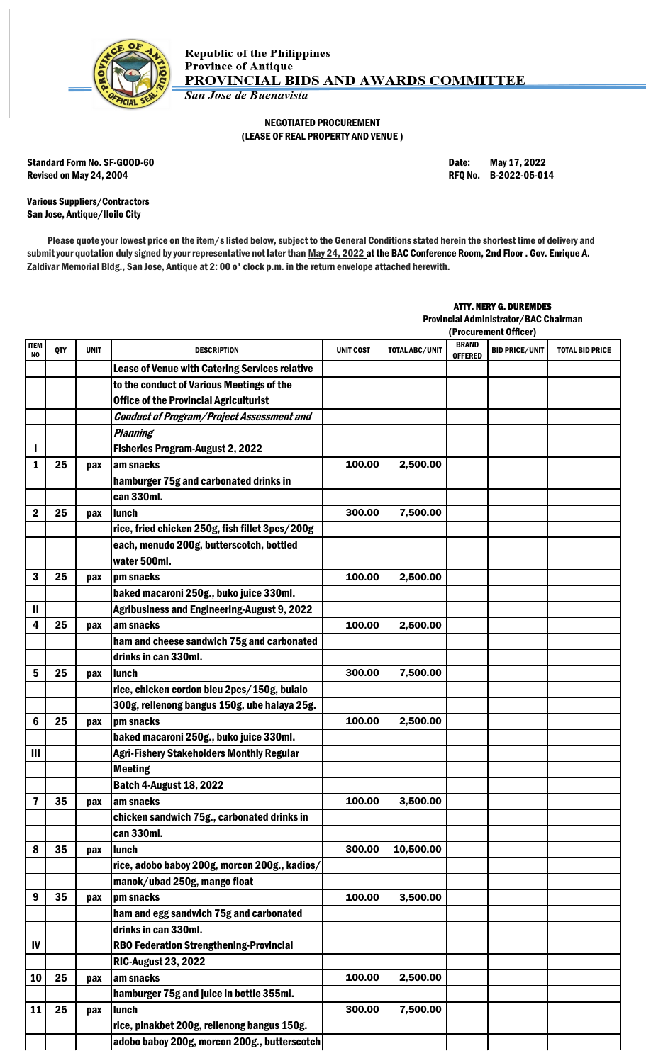

## NEGOTIATED PROCUREMENT (LEASE OF REAL PROPERTY AND VENUE )

Standard Form No. SF-GOOD-60 Date: May 17, 2022 Revised on May 24, 2004 **Review 12 and 2012** RFQ No. B-2022-05-014

Various Suppliers/Contractors San Jose, Antique/Iloilo City

Please quote your lowest price on the item/s listed below, subject to the General Conditions stated herein the shortest time of delivery and submit your quotation duly signed by your representative not later than May 24, 2022 at the BAC Conference Room, 2nd Floor . Gov. Enrique A. Zaldivar Memorial Bldg., San Jose, Antique at 2: 00 o' clock p.m. in the return envelope attached herewith.

## ATTY. NERY G. DUREMDES

Provincial Administrator/BAC Chairman

|                |     |             |                                                       |                  | (Procurement Officer) |                                |                       |                        |
|----------------|-----|-------------|-------------------------------------------------------|------------------|-----------------------|--------------------------------|-----------------------|------------------------|
| ITEM<br>NO     | QTY | <b>UNIT</b> | DESCRIPTION                                           | <b>UNIT COST</b> | <b>TOTAL ABC/UNIT</b> | <b>BRAND</b><br><b>OFFERED</b> | <b>BID PRICE/UNIT</b> | <b>TOTAL BID PRICE</b> |
|                |     |             | <b>Lease of Venue with Catering Services relative</b> |                  |                       |                                |                       |                        |
|                |     |             | to the conduct of Various Meetings of the             |                  |                       |                                |                       |                        |
|                |     |             | <b>Office of the Provincial Agriculturist</b>         |                  |                       |                                |                       |                        |
|                |     |             | <b>Conduct of Program/Project Assessment and</b>      |                  |                       |                                |                       |                        |
|                |     |             | <b>Planning</b>                                       |                  |                       |                                |                       |                        |
|                |     |             | <b>Fisheries Program-August 2, 2022</b>               |                  |                       |                                |                       |                        |
| 1              | 25  | pax         | am snacks                                             | 100.00           | 2,500.00              |                                |                       |                        |
|                |     |             | hamburger 75g and carbonated drinks in                |                  |                       |                                |                       |                        |
|                |     |             | can 330ml.                                            |                  |                       |                                |                       |                        |
| 2              | 25  | pax         | <b>lunch</b>                                          | 300.00           | 7,500.00              |                                |                       |                        |
|                |     |             | rice, fried chicken 250g, fish fillet 3pcs/200g       |                  |                       |                                |                       |                        |
|                |     |             | each, menudo 200g, butterscotch, bottled              |                  |                       |                                |                       |                        |
|                |     |             | water 500ml.                                          |                  |                       |                                |                       |                        |
| 3              | 25  | pax         | pm snacks                                             | 100.00           | 2,500.00              |                                |                       |                        |
|                |     |             | baked macaroni 250g., buko juice 330ml.               |                  |                       |                                |                       |                        |
| Ш              |     |             | <b>Agribusiness and Engineering-August 9, 2022</b>    |                  |                       |                                |                       |                        |
| 4              | 25  | pax         | am snacks                                             | 100.00           | 2,500.00              |                                |                       |                        |
|                |     |             | ham and cheese sandwich 75g and carbonated            |                  |                       |                                |                       |                        |
|                |     |             | drinks in can 330ml.                                  |                  |                       |                                |                       |                        |
| 5              | 25  | pax         | lunch                                                 | 300.00           | 7,500.00              |                                |                       |                        |
|                |     |             | rice, chicken cordon bleu 2pcs/150g, bulalo           |                  |                       |                                |                       |                        |
|                |     |             | 300g, rellenong bangus 150g, ube halaya 25g.          |                  |                       |                                |                       |                        |
| 6              | 25  | pax         | pm snacks                                             | 100.00           | 2,500.00              |                                |                       |                        |
|                |     |             | baked macaroni 250g., buko juice 330ml.               |                  |                       |                                |                       |                        |
| $\mathbf{III}$ |     |             | <b>Agri-Fishery Stakeholders Monthly Regular</b>      |                  |                       |                                |                       |                        |
|                |     |             | <b>Meeting</b>                                        |                  |                       |                                |                       |                        |
|                |     |             | <b>Batch 4-August 18, 2022</b>                        |                  |                       |                                |                       |                        |
| 7              | 35  | pax         | am snacks                                             | 100.00           | 3,500.00              |                                |                       |                        |
|                |     |             | chicken sandwich 75g., carbonated drinks in           |                  |                       |                                |                       |                        |
|                |     |             | can 330ml.                                            |                  |                       |                                |                       |                        |
| 8              | 35  | pax         | lunch                                                 | 300.00           | 10,500.00             |                                |                       |                        |
|                |     |             | rice, adobo baboy 200g, morcon 200g., kadios/         |                  |                       |                                |                       |                        |
|                |     |             | manok/ubad 250g, mango float                          |                  |                       |                                |                       |                        |
| 9              | 35  | pax         | pm snacks                                             | 100.00           | 3,500.00              |                                |                       |                        |
|                |     |             | ham and egg sandwich 75g and carbonated               |                  |                       |                                |                       |                        |
|                |     |             | drinks in can 330ml.                                  |                  |                       |                                |                       |                        |
| IV             |     |             | <b>RBO Federation Strengthening-Provincial</b>        |                  |                       |                                |                       |                        |
|                |     |             | <b>RIC-August 23, 2022</b>                            |                  |                       |                                |                       |                        |
| 10             | 25  | pax         | am snacks                                             | 100.00           | 2,500.00              |                                |                       |                        |
|                |     |             | hamburger 75g and juice in bottle 355ml.              |                  |                       |                                |                       |                        |
| 11             | 25  | pax         | lunch                                                 | 300.00           | 7,500.00              |                                |                       |                        |
|                |     |             | rice, pinakbet 200g, rellenong bangus 150g.           |                  |                       |                                |                       |                        |
|                |     |             | adobo baboy 200g, morcon 200g., butterscotch          |                  |                       |                                |                       |                        |